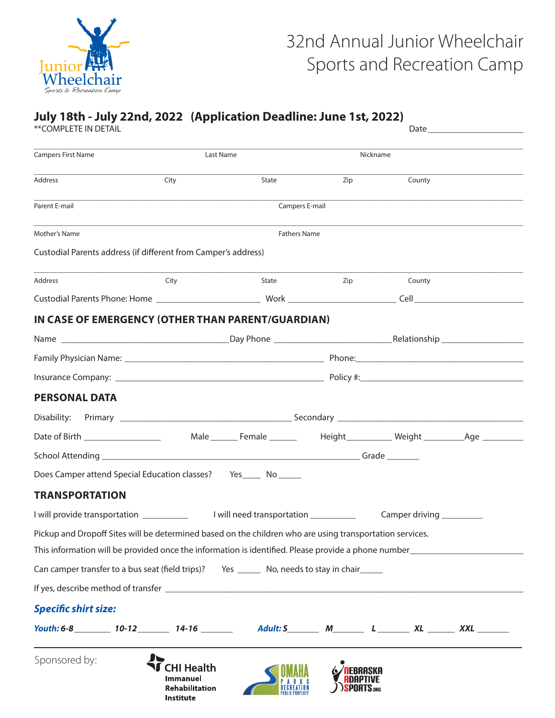

# 32nd Annual Junior Wheelchair Sports and Recreation Camp

#### **July 18th - July 22nd, 2022 (Application Deadline: June 1st, 2022)** \*\*COMPLETE IN DETAIL DETAIL

| <b>Campers First Name</b><br>Address<br>Parent E-mail<br>Mother's Name<br>Custodial Parents address (if different from Camper's address)<br>Address<br>IN CASE OF EMERGENCY (OTHER THAN PARENT/GUARDIAN) | Last Name<br>City<br>City | State<br>Campers E-mail<br>State                                                                 | Zip | Nickname<br>County        |                     |  |  |  |  |  |  |
|----------------------------------------------------------------------------------------------------------------------------------------------------------------------------------------------------------|---------------------------|--------------------------------------------------------------------------------------------------|-----|---------------------------|---------------------|--|--|--|--|--|--|
|                                                                                                                                                                                                          |                           |                                                                                                  |     |                           |                     |  |  |  |  |  |  |
|                                                                                                                                                                                                          |                           |                                                                                                  |     |                           |                     |  |  |  |  |  |  |
|                                                                                                                                                                                                          |                           |                                                                                                  |     |                           |                     |  |  |  |  |  |  |
|                                                                                                                                                                                                          |                           |                                                                                                  |     |                           | <b>Fathers Name</b> |  |  |  |  |  |  |
|                                                                                                                                                                                                          |                           |                                                                                                  |     |                           |                     |  |  |  |  |  |  |
|                                                                                                                                                                                                          |                           |                                                                                                  | Zip | County                    |                     |  |  |  |  |  |  |
|                                                                                                                                                                                                          |                           |                                                                                                  |     |                           |                     |  |  |  |  |  |  |
|                                                                                                                                                                                                          |                           |                                                                                                  |     |                           |                     |  |  |  |  |  |  |
|                                                                                                                                                                                                          |                           |                                                                                                  |     |                           |                     |  |  |  |  |  |  |
|                                                                                                                                                                                                          |                           |                                                                                                  |     |                           |                     |  |  |  |  |  |  |
|                                                                                                                                                                                                          |                           |                                                                                                  |     |                           |                     |  |  |  |  |  |  |
| <b>PERSONAL DATA</b>                                                                                                                                                                                     |                           |                                                                                                  |     |                           |                     |  |  |  |  |  |  |
|                                                                                                                                                                                                          |                           |                                                                                                  |     |                           |                     |  |  |  |  |  |  |
| Date of Birth _________________                                                                                                                                                                          |                           | Male ________ Female _______________ Height ____________ Weight ________________Age ____________ |     |                           |                     |  |  |  |  |  |  |
|                                                                                                                                                                                                          |                           |                                                                                                  |     |                           |                     |  |  |  |  |  |  |
| Does Camper attend Special Education classes? Yes ______ No ______                                                                                                                                       |                           |                                                                                                  |     |                           |                     |  |  |  |  |  |  |
| <b>TRANSPORTATION</b>                                                                                                                                                                                    |                           |                                                                                                  |     |                           |                     |  |  |  |  |  |  |
|                                                                                                                                                                                                          |                           |                                                                                                  |     | Camper driving __________ |                     |  |  |  |  |  |  |
| Pickup and Dropoff Sites will be determined based on the children who are using transportation services.                                                                                                 |                           |                                                                                                  |     |                           |                     |  |  |  |  |  |  |
|                                                                                                                                                                                                          |                           |                                                                                                  |     |                           |                     |  |  |  |  |  |  |
| Can camper transfer to a bus seat (field trips)? Yes _______ No, needs to stay in chair_______                                                                                                           |                           |                                                                                                  |     |                           |                     |  |  |  |  |  |  |
|                                                                                                                                                                                                          |                           |                                                                                                  |     |                           |                     |  |  |  |  |  |  |
| <b>Specific shirt size:</b>                                                                                                                                                                              |                           |                                                                                                  |     |                           |                     |  |  |  |  |  |  |
|                                                                                                                                                                                                          |                           |                                                                                                  |     |                           |                     |  |  |  |  |  |  |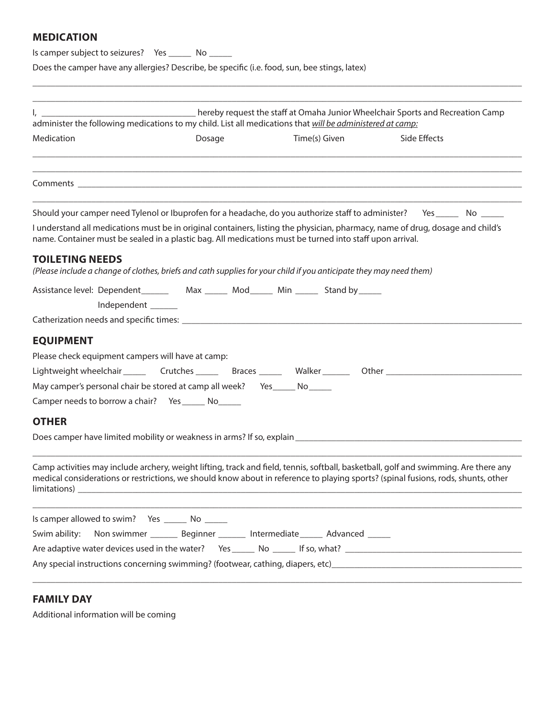# **MEDICATION**

Is camper subject to seizures? Yes \_\_\_\_\_ No \_\_\_\_\_

Does the camper have any allergies? Describe, be specific (i.e. food, sun, bee stings, latex)

|                                                                                                                                                                                                                                                                                           | hereby request the staff at Omaha Junior Wheelchair Sports and Recreation Camp |               |              |  |
|-------------------------------------------------------------------------------------------------------------------------------------------------------------------------------------------------------------------------------------------------------------------------------------------|--------------------------------------------------------------------------------|---------------|--------------|--|
| administer the following medications to my child. List all medications that will be administered at camp:<br>Medication                                                                                                                                                                   |                                                                                | Time(s) Given | Side Effects |  |
|                                                                                                                                                                                                                                                                                           | Dosage                                                                         |               |              |  |
|                                                                                                                                                                                                                                                                                           |                                                                                |               |              |  |
| Should your camper need Tylenol or Ibuprofen for a headache, do you authorize staff to administer? Yes ______ No _____                                                                                                                                                                    |                                                                                |               |              |  |
| I understand all medications must be in original containers, listing the physician, pharmacy, name of drug, dosage and child's<br>name. Container must be sealed in a plastic bag. All medications must be turned into staff upon arrival.                                                |                                                                                |               |              |  |
| <b>TOILETING NEEDS</b><br>(Please include a change of clothes, briefs and cath supplies for your child if you anticipate they may need them)                                                                                                                                              |                                                                                |               |              |  |
| Assistance level: Dependent___________ Max _______ Mod_______ Min _______ Stand by _____                                                                                                                                                                                                  |                                                                                |               |              |  |
| Independent ______                                                                                                                                                                                                                                                                        |                                                                                |               |              |  |
|                                                                                                                                                                                                                                                                                           |                                                                                |               |              |  |
| <b>EQUIPMENT</b>                                                                                                                                                                                                                                                                          |                                                                                |               |              |  |
| Please check equipment campers will have at camp:                                                                                                                                                                                                                                         |                                                                                |               |              |  |
| Lightweight wheelchair __________Crutches ____________Braces __________Walker ________________________________                                                                                                                                                                            |                                                                                |               |              |  |
| May camper's personal chair be stored at camp all week? Yes ______ No ______                                                                                                                                                                                                              |                                                                                |               |              |  |
| Camper needs to borrow a chair?  Yes _______ No______                                                                                                                                                                                                                                     |                                                                                |               |              |  |
| <b>OTHER</b>                                                                                                                                                                                                                                                                              |                                                                                |               |              |  |
| Does camper have limited mobility or weakness in arms? If so, explain <b>contained a container and container</b> the contact of the contact of the contact of the contact of the contact of the contact of the contact of the conta                                                       |                                                                                |               |              |  |
|                                                                                                                                                                                                                                                                                           |                                                                                |               |              |  |
| Camp activities may include archery, weight lifting, track and field, tennis, softball, basketball, golf and swimming. Are there any<br>medical considerations or restrictions, we should know about in reference to playing sports? (spinal fusions, rods, shunts, other<br>limitations) |                                                                                |               |              |  |
| Is camper allowed to swim? Yes ________ No _______                                                                                                                                                                                                                                        |                                                                                |               |              |  |
| Swim ability:                                                                                                                                                                                                                                                                             | Non swimmer _________ Beginner _________ Intermediate _______ Advanced ______  |               |              |  |
|                                                                                                                                                                                                                                                                                           |                                                                                |               |              |  |
| Any special instructions concerning swimming? (footwear, cathing, diapers, etc)                                                                                                                                                                                                           |                                                                                |               |              |  |

\_\_\_\_\_\_\_\_\_\_\_\_\_\_\_\_\_\_\_\_\_\_\_\_\_\_\_\_\_\_\_\_\_\_\_\_\_\_\_\_\_\_\_\_\_\_\_\_\_\_\_\_\_\_\_\_\_\_\_\_\_\_\_\_\_\_\_\_\_\_\_\_\_\_\_\_\_\_\_\_\_\_\_\_\_\_\_\_\_\_\_\_\_\_\_\_\_\_\_\_\_\_\_\_\_\_\_\_

# **FAMILY DAY**

Additional information will be coming